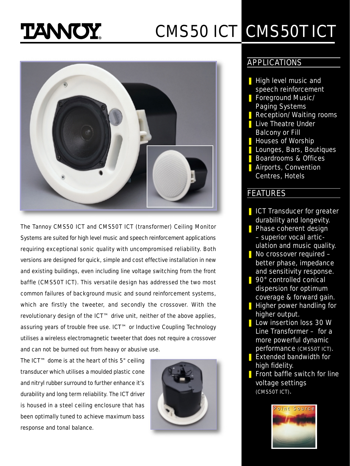# **TANOY**

## CMS50 ICT CMS50T ICT



The Tannoy CMS50 ICT and CMS50T ICT (transformer) Ceiling Monitor Systems are suited for high level music and speech reinforcement applications requiring exceptional sonic quality with uncompromised reliability. Both versions are designed for quick, simple and cost effective installation in new and existing buildings, even including line voltage switching from the front baffle (CMS50T ICT). This versatile design has addressed the two most common failures of background music and sound reinforcement systems, which are firstly the tweeter, and secondly the crossover. With the revolutionary design of the ICT™ drive unit, neither of the above applies, assuring years of trouble free use. ICT™ or Inductive Coupling Technology utilises a wireless electromagnetic tweeter that does not require a crossover and can not be burned out from heavy or abusive use.

The ICT™ dome is at the heart of this 5" ceiling transducer which utilises a moulded plastic cone and nitryl rubber surround to further enhance it's durability and long term reliability. The ICT driver is housed in a steel ceiling enclosure that has been optimally tuned to achieve maximum bass response and tonal balance.



#### APPLICATIONS

- **High level music and** speech reinforcement
- Foreground Music/ Paging Systems
- Reception/Waiting rooms **Live Theatre Under**
- Balcony or Fill
- **Houses of Worship**
- **Lounges, Bars, Boutiques**
- Boardrooms & Offices
- **■** Airports, Convention Centres, Hotels

#### FEATURES

- **I** ICT Transducer for greater durability and longevity.
- **Phase coherent design** – superior vocal articulation and music quality.
- No crossover required better phase, impedance and sensitivity response.
- **g** 90° controlled conical dispersion for optimum coverage & forward gain.
- **I** Higher power handling for higher output.
- Low insertion loss 30 W Line Transformer – for a more powerful dynamic performance (CMS50T ICT).
- **Extended bandwidth for** high fidelity.
- **Fig.** Front baffle switch for line voltage settings (CMS50T ICT).